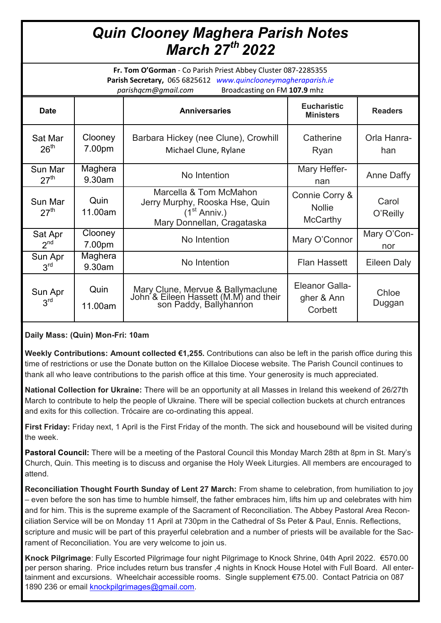## *Quin Clooney Maghera Parish Notes March 27th 2022*

**Fr. Tom O'Gorman** - Co Parish Priest Abbey Cluster 087-2285355 **Parish Secretary,** 065 6825612 *www.quinclooneymagheraparish.ie parishqcm@gmail.com* Broadcasting on FM **107.9** mhz

| <b>Date</b>                 |                   | <b>Anniversaries</b>                                                                                               | <b>Eucharistic</b><br><b>Ministers</b>             | <b>Readers</b>     |
|-----------------------------|-------------------|--------------------------------------------------------------------------------------------------------------------|----------------------------------------------------|--------------------|
| Sat Mar<br>26 <sup>th</sup> | Clooney<br>7.00pm | Barbara Hickey (nee Clune), Crowhill<br>Michael Clune, Rylane                                                      | Catherine<br>Ryan                                  | Orla Hanra-<br>han |
| Sun Mar<br>27 <sup>th</sup> | Maghera<br>9.30am | No Intention                                                                                                       | Mary Heffer-<br>nan                                | <b>Anne Daffy</b>  |
| Sun Mar<br>27 <sup>th</sup> | Quin<br>11.00am   | Marcella & Tom McMahon<br>Jerry Murphy, Rooska Hse, Quin<br>(1 <sup>st</sup> Anniv.)<br>Mary Donnellan, Cragataska | Connie Corry &<br><b>Nollie</b><br><b>McCarthy</b> | Carol<br>O'Reilly  |
| Sat Apr<br>2 <sup>nd</sup>  | Clooney<br>7.00pm | No Intention                                                                                                       | Mary O'Connor                                      | Mary O'Con-<br>nor |
| Sun Apr<br>3 <sup>rd</sup>  | Maghera<br>9.30am | No Intention                                                                                                       | <b>Flan Hassett</b>                                | Eileen Daly        |
| Sun Apr<br>3 <sup>rd</sup>  | Quin<br>11.00am   | Mary Clune, Mervue & Ballymaclune<br>John & Eileen Hassett (M.M) and their<br>son Paddy, Ballyhannon               | <b>Eleanor Galla-</b><br>gher & Ann<br>Corbett     | Chloe<br>Duggan    |

**Daily Mass: (Quin) Mon-Fri: 10am**

**Weekly Contributions: Amount collected €1,255.** Contributions can also be left in the parish office during this time of restrictions or use the Donate button on the Killaloe Diocese website. The Parish Council continues to thank all who leave contributions to the parish office at this time. Your generosity is much appreciated.

**National Collection for Ukraine:** There will be an opportunity at all Masses in Ireland this weekend of 26/27th March to contribute to help the people of Ukraine. There will be special collection buckets at church entrances and exits for this collection. Trócaire are co-ordinating this appeal.

**First Friday:** Friday next, 1 April is the First Friday of the month. The sick and housebound will be visited during the week.

**Pastoral Council:** There will be a meeting of the Pastoral Council this Monday March 28th at 8pm in St. Mary's Church, Quin. This meeting is to discuss and organise the Holy Week Liturgies. All members are encouraged to attend.

**Reconciliation Thought Fourth Sunday of Lent 27 March:** From shame to celebration, from humiliation to joy – even before the son has time to humble himself, the father embraces him, lifts him up and celebrates with him and for him. This is the supreme example of the Sacrament of Reconciliation. The Abbey Pastoral Area Reconciliation Service will be on Monday 11 April at 730pm in the Cathedral of Ss Peter & Paul, Ennis. Reflections, scripture and music will be part of this prayerful celebration and a number of priests will be available for the Sacrament of Reconciliation. You are very welcome to join us.

**Knock Pilgrimage**: Fully Escorted Pilgrimage four night Pilgrimage to Knock Shrine, 04th April 2022. €570.00 per person sharing. Price includes return bus transfer ,4 nights in Knock House Hotel with Full Board. All entertainment and excursions. Wheelchair accessible rooms. Single supplement €75.00. Contact Patricia on 087 1890 236 or email [knockpilgrimages@gmail.com.](mailto:knockpilgrimages@gmail.com)